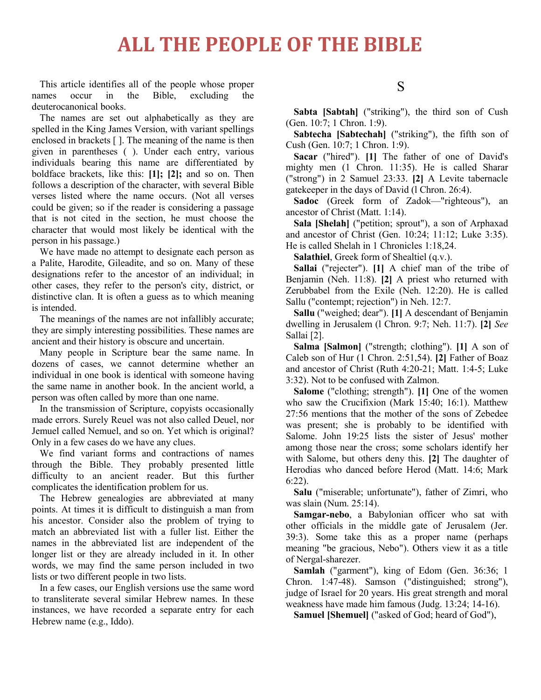This article identifies all of the people whose proper names occur in the Bible, excluding the deuterocanonical books.

The names are set out alphabetically as they are spelled in the King James Version, with variant spellings enclosed in brackets [ ]. The meaning of the name is then given in parentheses ( ). Under each entry, various individuals bearing this name are differentiated by boldface brackets, like this: **[1]; [2];** and so on. Then follows a description of the character, with several Bible verses listed where the name occurs. (Not all verses could be given; so if the reader is considering a passage that is not cited in the section, he must choose the character that would most likely be identical with the person in his passage.)

We have made no attempt to designate each person as a Palite, Harodite, Gileadite, and so on. Many of these designations refer to the ancestor of an individual; in other cases, they refer to the person's city, district, or distinctive clan. It is often a guess as to which meaning is intended.

The meanings of the names are not infallibly accurate; they are simply interesting possibilities. These names are ancient and their history is obscure and uncertain.

Many people in Scripture bear the same name. In dozens of cases, we cannot determine whether an individual in one book is identical with someone having the same name in another book. In the ancient world, a person was often called by more than one name.

In the transmission of Scripture, copyists occasionally made errors. Surely Reuel was not also called Deuel, nor Jemuel called Nemuel, and so on. Yet which is original? Only in a few cases do we have any clues.

We find variant forms and contractions of names through the Bible. They probably presented little difficulty to an ancient reader. But this further complicates the identification problem for us.

The Hebrew genealogies are abbreviated at many points. At times it is difficult to distinguish a man from his ancestor. Consider also the problem of trying to match an abbreviated list with a fuller list. Either the names in the abbreviated list are independent of the longer list or they are already included in it. In other words, we may find the same person included in two lists or two different people in two lists.

In a few cases, our English versions use the same word to transliterate several similar Hebrew names. In these instances, we have recorded a separate entry for each Hebrew name (e.g., Iddo).

#### S

**Sabta [Sabtah]** ("striking"), the third son of Cush (Gen. 10:7; 1 Chron. 1:9).

**Sabtecha [Sabtechah]** ("striking"), the fifth son of Cush (Gen. 10:7; 1 Chron. 1:9).

**Sacar** ("hired"). **[1]** The father of one of David's mighty men (1 Chron. 11:35). He is called Sharar ("strong") in 2 Samuel 23:33. **[2]** A Levite tabernacle gatekeeper in the days of David (l Chron. 26:4).

**Sadoc** (Greek form of Zadok—"righteous"), an ancestor of Christ (Matt. 1:14).

**Sala [Shelah]** ("petition; sprout"), a son of Arphaxad and ancestor of Christ (Gen. 10:24; 11:12; Luke 3:35). He is called Shelah in 1 Chronicles 1:18,24.

**Salathiel**, Greek form of Shealtiel (q.v.).

**Sallai** ("rejecter"). **[1]** A chief man of the tribe of Benjamin (Neh. 11:8). **[2]** A priest who returned with Zerubbabel from the Exile (Neh. 12:20). He is called Sallu ("contempt; rejection") in Neh. 12:7.

**Sallu** ("weighed; dear"). **[1]** A descendant of Benjamin dwelling in Jerusalem (l Chron. 9:7; Neh. 11:7). **[2]** *See* Sallai [2].

**Salma [Salmon]** ("strength; clothing"). **[1]** A son of Caleb son of Hur (1 Chron. 2:51,54). **[2]** Father of Boaz and ancestor of Christ (Ruth 4:20-21; Matt. 1:4-5; Luke 3:32). Not to be confused with Zalmon.

**Salome** ("clothing; strength"). **[1]** One of the women who saw the Crucifixion (Mark 15:40; 16:1). Matthew 27:56 mentions that the mother of the sons of Zebedee was present; she is probably to be identified with Salome. John 19:25 lists the sister of Jesus' mother among those near the cross; some scholars identify her with Salome, but others deny this. **[2]** The daughter of Herodias who danced before Herod (Matt. 14:6; Mark 6:22).

**Salu** ("miserable; unfortunate"), father of Zimri, who was slain (Num. 25:14).

**Samgar-nebo**, a Babylonian officer who sat with other officials in the middle gate of Jerusalem (Jer. 39:3). Some take this as a proper name (perhaps meaning "be gracious, Nebo"). Others view it as a title of Nergal-sharezer.

**Samlah** ("garment"), king of Edom (Gen. 36:36; 1 Chron. 1:47-48). Samson ("distinguished; strong"), judge of Israel for 20 years. His great strength and moral weakness have made him famous (Judg. 13:24; 14-16).

**Samuel [Shemuel]** ("asked of God; heard of God"),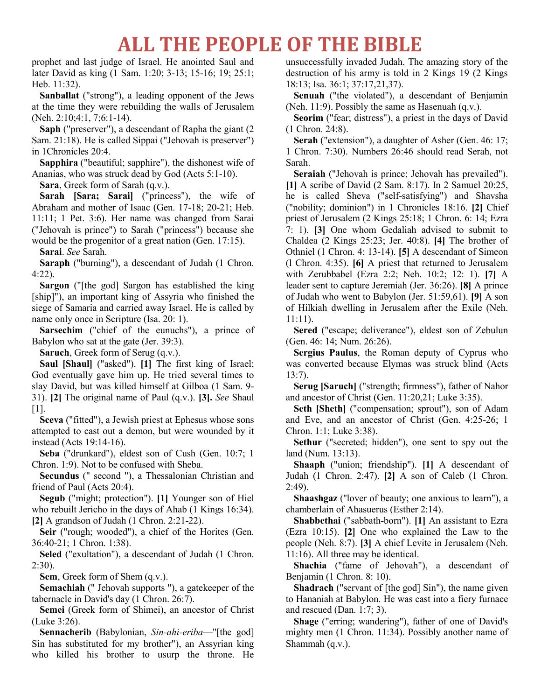prophet and last judge of Israel. He anointed Saul and later David as king (1 Sam. 1:20; 3-13; 15-16; 19; 25:1; Heb. 11:32).

**Sanballat** ("strong"), a leading opponent of the Jews at the time they were rebuilding the walls of Jerusalem (Neh. 2:10;4:1, 7;6:1-14).

**Saph** ("preserver"), a descendant of Rapha the giant (2 Sam. 21:18). He is called Sippai ("Jehovah is preserver") in 1Chronicles 20:4.

**Sapphira** ("beautiful; sapphire"), the dishonest wife of Ananias, who was struck dead by God (Acts 5:1-10).

**Sara**, Greek form of Sarah (q.v.).

**Sarah [Sara; Sarai]** ("princess"), the wife of Abraham and mother of Isaac (Gen. 17-18; 20-21; Heb. 11:11; 1 Pet. 3:6). Her name was changed from Sarai ("Jehovah is prince") to Sarah ("princess") because she would be the progenitor of a great nation (Gen. 17:15).

**Sarai**. *See* Sarah.

**Saraph** ("burning"), a descendant of Judah (1 Chron. 4:22).

**Sargon** ("[the god] Sargon has established the king [ship]"), an important king of Assyria who finished the siege of Samaria and carried away Israel. He is called by name only once in Scripture (Isa. 20: 1).

**Sarsechim** ("chief of the eunuchs"), a prince of Babylon who sat at the gate (Jer. 39:3).

**Saruch**, Greek form of Serug (q.v.).

**Saul [Shaul]** ("asked"). **[1]** The first king of Israel; God eventually gave him up. He tried several times to slay David, but was killed himself at Gilboa (1 Sam. 9- 31). **[2]** The original name of Paul (q.v.). **[3].** *See* Shaul  $[1]$ .

**Sceva** ("fitted"), a Jewish priest at Ephesus whose sons attempted to cast out a demon, but were wounded by it instead (Acts 19:14-16).

**Seba** ("drunkard"), eldest son of Cush (Gen. 10:7; 1 Chron. 1:9). Not to be confused with Sheba.

**Secundus** (" second "), a Thessalonian Christian and friend of Paul (Acts 20:4).

**Segub** ("might; protection"). **[1]** Younger son of Hiel who rebuilt Jericho in the days of Ahab (1 Kings 16:34). **[2]** A grandson of Judah (1 Chron. 2:21-22).

**Seir** ("rough; wooded"), a chief of the Horites (Gen. 36:40-21; 1 Chron. 1:38).

**Seled** ("exultation"), a descendant of Judah (1 Chron. 2:30).

**Sem**, Greek form of Shem (q.v.).

**Semachiah** (" Jehovah supports "), a gatekeeper of the tabernacle in David's day (1 Chron. 26:7).

**Semei** (Greek form of Shimei), an ancestor of Christ (Luke 3:26).

**Sennacherib** (Babylonian, *Sin-ahi-eriba*—"[the god] Sin has substituted for my brother"), an Assyrian king who killed his brother to usurp the throne. He unsuccessfully invaded Judah. The amazing story of the destruction of his army is told in 2 Kings 19 (2 Kings 18:13; Isa. 36:1; 37:17,21,37).

**Senuah** ("the violated"), a descendant of Benjamin (Neh. 11:9). Possibly the same as Hasenuah (q.v.).

**Seorim** ("fear; distress"), a priest in the days of David (1 Chron. 24:8).

**Serah** ("extension"), a daughter of Asher (Gen. 46: 17; 1 Chron. 7:30). Numbers 26:46 should read Serah, not Sarah.

**Seraiah** ("Jehovah is prince; Jehovah has prevailed"). **[1]** A scribe of David (2 Sam. 8:17). In 2 Samuel 20:25, he is called Sheva ("self-satisfying") and Shavsha ("nobility; dominion") in 1 Chronicles 18:16. **[2]** Chief priest of Jerusalem (2 Kings 25:18; 1 Chron. 6: 14; Ezra 7: 1). **[3]** One whom Gedaliah advised to submit to Chaldea (2 Kings 25:23; Jer. 40:8). **[4]** The brother of Othniel (1 Chron. 4: 13-14). **[5]** A descendant of Simeon (l Chron. 4:35). **[6]** A priest that returned to Jerusalem with Zerubbabel (Ezra 2:2; Neh. 10:2; 12: 1). **[7]** A leader sent to capture Jeremiah (Jer. 36:26). **[8]** A prince of Judah who went to Babylon (Jer. 51:59,61). **[9]** A son of Hilkiah dwelling in Jerusalem after the Exile (Neh. 11:11).

**Sered** ("escape; deliverance"), eldest son of Zebulun (Gen. 46: 14; Num. 26:26).

**Sergius Paulus**, the Roman deputy of Cyprus who was converted because Elymas was struck blind (Acts 13:7).

**Serug [Saruch]** ("strength; firmness"), father of Nahor and ancestor of Christ (Gen. 11:20,21; Luke 3:35).

**Seth [Sheth]** ("compensation; sprout"), son of Adam and Eve, and an ancestor of Christ (Gen. 4:25-26; 1 Chron. 1:1; Luke 3:38).

**Sethur** ("secreted; hidden"), one sent to spy out the land (Num. 13:13).

**Shaaph** ("union; friendship"). **[1]** A descendant of Judah (1 Chron. 2:47). **[2]** A son of Caleb (1 Chron. 2:49).

**Shaashgaz** (''lover of beauty; one anxious to learn"), a chamberlain of Ahasuerus (Esther 2:14).

**Shabbethai** ("sabbath-born"). **[1]** An assistant to Ezra (Ezra 10:15). **[2]** One who explained the Law to the people (Neh. 8:7). **[3]** A chief Levite in Jerusalem (Neh. 11:16). All three may be identical.

**Shachia** ("fame of Jehovah"), a descendant of Benjamin (1 Chron. 8: 10).

**Shadrach** ("servant of [the god] Sin"), the name given to Hananiah at Babylon. He was cast into a fiery furnace and rescued (Dan. 1:7; 3).

**Shage** ("erring; wandering"), father of one of David's mighty men (1 Chron. 11:34). Possibly another name of Shammah (q.v.).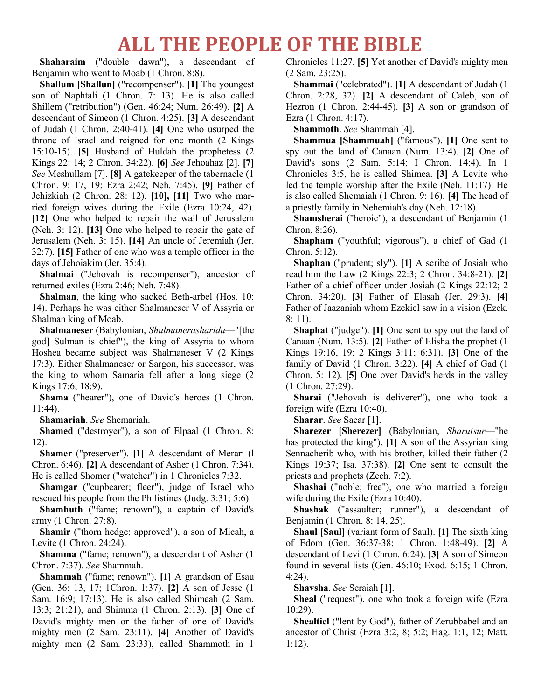**Shaharaim** ("double dawn"), a descendant of Benjamin who went to Moab (1 Chron. 8:8).

**Shallum [Shallun]** ("recompenser"). **[1]** The youngest son of Naphtali (1 Chron. 7: 13). He is also called Shillem ("retribution") (Gen. 46:24; Num. 26:49). **[2]** A descendant of Simeon (1 Chron. 4:25). **[3]** A descendant of Judah (1 Chron. 2:40-41). **[4]** One who usurped the throne of Israel and reigned for one month (2 Kings 15:10-15). **[5]** Husband of Huldah the prophetess (2 Kings 22: 14; 2 Chron. 34:22). **[6]** *See* Jehoahaz [2]. **[7]** *See* Meshullam [7]. **[8]** A gatekeeper of the tabernacle (1 Chron. 9: 17, 19; Ezra 2:42; Neh. 7:45). **[9]** Father of Jehizkiah (2 Chron. 28: 12). **[10], [11]** Two who married foreign wives during the Exile (Ezra 10:24, 42). **[12]** One who helped to repair the wall of Jerusalem (Neh. 3: 12). **[13]** One who helped to repair the gate of Jerusalem (Neh. 3: 15). **[14]** An uncle of Jeremiah (Jer. 32:7). **[15]** Father of one who was a temple officer in the days of Jehoiakim (Jer. 35:4).

**Shalmai** ("Jehovah is recompenser"), ancestor of returned exiles (Ezra 2:46; Neh. 7:48).

**Shalman**, the king who sacked Beth-arbel (Hos. 10: 14). Perhaps he was either Shalmaneser V of Assyria or Shalman king of Moab.

**Shalmaneser** (Babylonian, *Shulmanerasharidu*—"[the god] Sulman is chief"), the king of Assyria to whom Hoshea became subject was Shalmaneser V (2 Kings 17:3). Either Shalmaneser or Sargon, his successor, was the king to whom Samaria fell after a long siege (2 Kings 17:6; 18:9).

**Shama** ("hearer"), one of David's heroes (1 Chron. 11:44).

**Shamariah**. *See* Shemariah.

**Shamed** ("destroyer"), a son of Elpaal (1 Chron. 8: 12).

**Shamer** ("preserver"). **[1]** A descendant of Merari (l Chron. 6:46). **[2]** A descendant of Asher (1 Chron. 7:34). He is called Shomer ("watcher") in 1 Chronicles 7:32.

**Shamgar** ("cupbearer; fleer"), judge of Israel who rescued his people from the Philistines (Judg. 3:31; 5:6).

**Shamhuth** ("fame; renown"), a captain of David's army (1 Chron. 27:8).

**Shamir** ("thorn hedge; approved"), a son of Micah, a Levite (1 Chron. 24:24).

**Shamma** ("fame; renown"), a descendant of Asher (1 Chron. 7:37). *See* Shammah.

**Shammah** ("fame; renown"). **[1]** A grandson of Esau (Gen. 36: 13, 17; 1Chron. 1:37). **[2]** A son of Jesse (1 Sam. 16:9; 17:13). He is also called Shimeah (2 Sam. 13:3; 21:21), and Shimma (1 Chron. 2:13). **[3]** One of David's mighty men or the father of one of David's mighty men (2 Sam. 23:11). **[4]** Another of David's mighty men (2 Sam. 23:33), called Shammoth in 1

Chronicles 11:27. **[5]** Yet another of David's mighty men (2 Sam. 23:25).

**Shammai** ("celebrated"). **[1]** A descendant of Judah (1 Chron. 2:28, 32). **[2]** A descendant of Caleb, son of Hezron (1 Chron. 2:44-45). **[3]** A son or grandson of Ezra (1 Chron. 4:17).

**Shammoth**. *See* Shammah [4].

**Shammua [Shammuah]** ("famous"). **[1]** One sent to spy out the land of Canaan (Num. 13:4). **[2]** One of David's sons (2 Sam. 5:14; I Chron. 14:4). In 1 Chronicles 3:5, he is called Shimea. **[3]** A Levite who led the temple worship after the Exile (Neh. 11:17). He is also called Shemaiah (1 Chron. 9: 16). **[4]** The head of a priestly family in Nehemiah's day (Neh. 12:18).

**Shamsherai** ("heroic"), a descendant of Benjamin (1 Chron. 8:26).

**Shapham** ("youthful; vigorous"), a chief of Gad (1 Chron. 5:12).

**Shaphan** ("prudent; sly"). **[1]** A scribe of Josiah who read him the Law (2 Kings 22:3; 2 Chron. 34:8-21). **[2]** Father of a chief officer under Josiah (2 Kings 22:12; 2 Chron. 34:20). **[3]** Father of Elasah (Jer. 29:3). **[4]** Father of Jaazaniah whom Ezekiel saw in a vision (Ezek. 8: 11).

**Shaphat** ("judge"). **[1]** One sent to spy out the land of Canaan (Num. 13:5). **[2]** Father of Elisha the prophet (1 Kings 19:16, 19; 2 Kings 3:11; 6:31). **[3]** One of the family of David (1 Chron. 3:22). **[4]** A chief of Gad (1 Chron. 5: 12). **[5]** One over David's herds in the valley (1 Chron. 27:29).

**Sharai** ("Jehovah is deliverer"), one who took a foreign wife (Ezra 10:40).

**Sharar**. *See* Sacar [1].

**Sharezer [Sherezer]** (Babylonian, *Sharutsur*—"he has protected the king"). **[1]** A son of the Assyrian king Sennacherib who, with his brother, killed their father (2 Kings 19:37; Isa. 37:38). **[2]** One sent to consult the priests and prophets (Zech. 7:2).

**Shashai** ("noble; free"), one who married a foreign wife during the Exile (Ezra 10:40).

**Shashak** ("assaulter; runner"), a descendant of Benjamin (1 Chron. 8: 14, 25).

**Shaul [Saul]** (variant form of Saul). **[1]** The sixth king of Edom (Gen. 36:37-38; 1 Chron. 1:48-49). **[2]** A descendant of Levi (1 Chron. 6:24). **[3]** A son of Simeon found in several lists (Gen. 46:10; Exod. 6:15; 1 Chron. 4:24).

**Shavsha**. *See* Seraiah [1].

**Sheal** ("request"), one who took a foreign wife (Ezra 10:29).

**Shealtiel** ("lent by God"), father of Zerubbabel and an ancestor of Christ (Ezra 3:2, 8; 5:2; Hag. 1:1, 12; Matt. 1:12).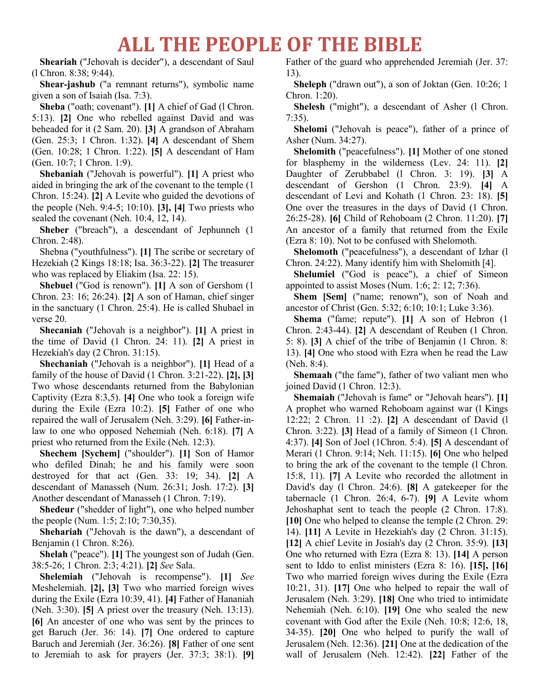**Sheariah** ("Jehovah is decider"), a descendant of Saul (l Chron. 8:38; 9:44).

**Shear-jashub** ("a remnant returns"), symbolic name given a son of Isaiah (Isa. 7:3).

**Sheba** ("oath; covenant"). **[1]** A chief of Gad (l Chron. 5:13). **[2]** One who rebelled against David and was beheaded for it (2 Sam. 20). **[3]** A grandson of Abraham (Gen. 25:3; 1 Chron. 1:32). **[4]** A descendant of Shem (Gen. 10:28; 1 Chron. 1:22). **[5]** A descendant of Ham (Gen. 10:7; 1 Chron. 1:9).

**Shebaniah** ("Jehovah is powerful"). **[1]** A priest who aided in bringing the ark of the covenant to the temple (1 Chron. 15:24). **[2]** A Levite who guided the devotions of the people (Neh. 9:4-5; 10:10). **[3], [4]** Two priests who sealed the covenant (Neh. 10:4, 12, 14).

**Sheber** ("breach"), a descendant of Jephunneh (1 Chron. 2:48).

Shebna ("youthfulness"). **[1]** The scribe or secretary of Hezekiah (2 Kings 18:18; Isa. 36:3-22). **[2]** The treasurer who was replaced by Eliakim (Isa. 22: 15).

**Shebuel** ("God is renown"). **[1]** A son of Gershom (1 Chron. 23: 16; 26:24). **[2]** A son of Haman, chief singer in the sanctuary (1 Chron. 25:4). He is called Shubael in verse 20.

**Shecaniah** ("Jehovah is a neighbor"). **[1]** A priest in the time of David (1 Chron. 24: 11). **[2]** A priest in Hezekiah's day (2 Chron. 31:15).

**Shechaniah** ("Jehovah is a neighbor"). **[1]** Head of a family of the house of David (1 Chron. 3:21-22). **[2], [3]** Two whose descendants returned from the Babylonian Captivity (Ezra 8:3,5). **[4]** One who took a foreign wife during the Exile (Ezra 10:2). **[5]** Father of one who repaired the wall of Jerusalem (Neh. 3:29). **[6]** Father-inlaw to one who opposed Nehemiah (Neh. 6:18). **[7]** A priest who returned from the Exile (Neh. 12:3).

**Shechem [Sychem]** ("shoulder"). **[1]** Son of Hamor who defiled Dinah; he and his family were soon destroyed for that act (Gen. 33: 19; 34). **[2]** A descendant of Manasseh (Num. 26:31; Josh. 17:2). **[3]** Another descendant of Manasseh (1 Chron. 7:19).

**Shedeur** ("shedder of light"), one who helped number the people (Num. 1:5; 2:10; 7:30,35).

**Shehariah** ("Jehovah is the dawn"), a descendant of Benjamin (1 Chron. 8:26).

**Shelah** ("peace"). **[1]** The youngest son of Judah (Gen. 38:5-26; 1 Chron. 2:3; 4:21). **[2]** *See* Sala.

**Shelemiah** ("Jehovah is recompense"). **[1]** *See* Meshelemiah. **[2], [3]** Two who married foreign wives during the Exile (Ezra 10:39, 41). **[4]** Father of Hananiah (Neh. 3:30). **[5]** A priest over the treasury (Neh. 13:13). **[6]** An ancester of one who was sent by the princes to get Baruch (Jer. 36: 14). **[7]** One ordered to capture Baruch and Jeremiah (Jer. 36:26). **[8]** Father of one sent to Jeremiah to ask for prayers (Jer. 37:3; 38:1). **[9]**

Father of the guard who apprehended Jeremiah (Jer. 37: 13).

**Sheleph** ("drawn out"), a son of Joktan (Gen. 10:26; 1 Chron. 1:20).

**Shelesh** ("might"), a descendant of Asher (l Chron. 7:35).

**Shelomi** ("Jehovah is peace"), father of a prince of Asher (Num. 34:27).

**Shelomith** ("peacefulness"). **[1]** Mother of one stoned for blasphemy in the wilderness (Lev. 24: 11). **[2]** Daughter of Zerubbabel (l Chron. 3: 19). **[3]** A descendant of Gershon (1 Chron. 23:9). **[4]** A descendant of Levi and Kohath (1 Chron. 23: 18). **[5]** One over the treasures in the days of David (1 Chron. 26:25-28). **[6]** Child of Rehoboam (2 Chron. 11:20). **[7]** An ancestor of a family that returned from the Exile (Ezra 8: 10). Not to be confused with Shelomoth.

**Shelomoth** ("peacefulness"), a descendant of Izhar (l Chron. 24:22). Many identify him with Shelomith [4].

**Shelumiel** ("God is peace"), a chief of Simeon appointed to assist Moses (Num. 1:6; 2: 12; 7:36).

**Shem [Sem]** ("name; renown"), son of Noah and ancestor of Christ (Gen. 5:32; 6:10; 10:1; Luke 3:36).

**Shema** ("fame; repute"). **[1]** A son of Hebron (1 Chron. 2:43-44). **[2]** A descendant of Reuben (1 Chron. 5: 8). **[3]** A chief of the tribe of Benjamin (1 Chron. 8: 13). **[4]** One who stood with Ezra when he read the Law (Neh. 8:4).

**Shemaah** ("the fame"), father of two valiant men who joined David (1 Chron. 12:3).

**Shemaiah** ("Jehovah is fame" or "Jehovah hears''). **[1]** A prophet who warned Rehoboam against war (l Kings 12:22; 2 Chron. 11 :2). **[2]** A descendant of David (l Chron. 3:22). **[3]** Head of a family of Simeon (1 Chron. 4:37). **[4]** Son of Joel (1Chron. 5:4). **[5]** A descendant of Merari (1 Chron. 9:14; Neh. 11:15). **[6]** One who helped to bring the ark of the covenant to the temple (l Chron. 15:8, 11). **[7]** A Levite who recorded the allotment in David's day (l Chron. 24:6). **[8]** A gatekeeper for the tabernacle (1 Chron. 26:4, 6-7). **[9]** A Levite whom Jehoshaphat sent to teach the people (2 Chron. 17:8). **[10]** One who helped to cleanse the temple (2 Chron. 29: 14). **[11]** A Levite in Hezekiah's day (2 Chron. 31:15). **[12]** A chief Levite in Josiah's day (2 Chron. 35:9). **[13]** One who returned with Ezra (Ezra 8: 13). **[14]** A person sent to Iddo to enlist ministers (Ezra 8: 16). **[15], [16]** Two who married foreign wives during the Exile (Ezra 10:21, 31). **[17]** One who helped to repair the wall of Jerusalem (Neh. 3:29). **[18]** One who tried to intimidate Nehemiah (Neh. 6:10). **[19]** One who sealed the new covenant with God after the Exile (Neh. 10:8; 12:6, 18, 34-35). **[20]** One who helped to purify the wall of Jerusalem (Neh. 12:36). **[21]** One at the dedication of the wall of Jerusalem (Neh. 12:42). **[22]** Father of the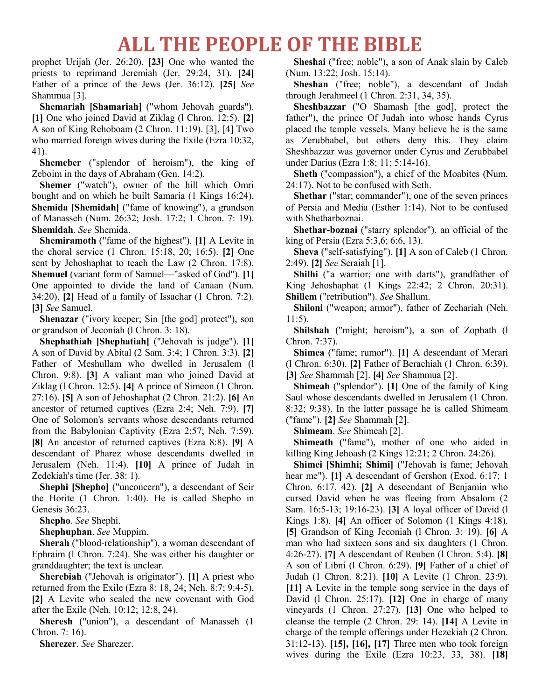prophet Urijah (Jer. 26:20). **[23]** One who wanted the priests to reprimand Jeremiah (Jer. 29:24, 31). **[24]** Father of a prince of the Jews (Jer. 36:12). **[25]** *See* Shammua [3].

**Shemariah [Shamariah]** ("whom Jehovah guards"). **[1]** One who joined David at Ziklag (l Chron. 12:5). **[2]** A son of King Rehoboam (2 Chron. 11:19). [3], [4] Two who married foreign wives during the Exile (Ezra 10:32, 41).

**Shemeber** ("splendor of heroism"), the king of Zeboim in the days of Abraham (Gen. 14:2).

**Shemer** ("watch"), owner of the hill which Omri bought and on which he built Samaria (1 Kings 16:24). **Shemida [Shemidah]** ("fame of knowing"), a grandson of Manasseh (Num. 26:32; Josh. 17:2; 1 Chron. 7: 19). **Shemidah**. *See* Shemida.

**Shemiramoth** ("fame of the highest"). **[1]** A Levite in the choral service (1 Chron. 15:18, 20; 16:5). **[2]** One sent by Jehoshaphat to teach the Law (2 Chron. 17:8). **Shemuel** (variant form of Samuel—"asked of God"). **[1]** One appointed to divide the land of Canaan (Num. 34:20). **[2]** Head of a family of Issachar (1 Chron. 7:2). **[3]** *See* Samuel.

**Shenazar** ("ivory keeper; Sin [the god] protect"), son or grandson of Jeconiah (l Chron. 3: 18).

**Shephathiah [Shephatiah]** ("Jehovah is judge"). **[1]** A son of David by Abital (2 Sam. 3:4; 1 Chron. 3:3). **[2]** Father of Meshullam who dwelled in Jerusalem (l Chron. 9:8). **[3]** A valiant man who joined David at Ziklag (l Chron. 12:5). **[4]** A prince of Simeon (1 Chron. 27:16). **[5]** A son of Jehoshaphat (2 Chron. 21:2). **[6]** An ancestor of returned captives (Ezra 2:4; Neh. 7:9). **[7]** One of Solomon's servants whose descendants returned from the Babylonian Captivity (Ezra 2:57; Neh. 7:59). **[8]** An ancestor of returned captives (Ezra 8:8). **[9]** A descendant of Pharez whose descendants dwelled in Jerusalem (Neh. 11:4). **[10]** A prince of Judah in Zedekiah's time (Jer. 38: 1).

**Shephi [Shepho]** ("unconcern"), a descendant of Seir the Horite (1 Chron. 1:40). He is called Shepho in Genesis 36:23.

**Shepho**. *See* Shephi.

**Shephuphan**. *See* Muppim.

**Sherah** ("blood-relationship"), a woman descendant of Ephraim (l Chron. 7:24). She was either his daughter or granddaughter; the text is unclear.

**Sherebiah** ("Jehovah is originator"). **[1]** A priest who returned from the Exile (Ezra 8: 18, 24; Neh. 8:7; 9:4-5). **[2]** A Levite who sealed the new covenant with God after the Exile (Neh. 10:12; 12:8, 24).

**Sheresh** ("union"), a descendant of Manasseh (1 Chron. 7: 16).

**Sherezer**. *See* Sharezer.

**Sheshai** ("free; noble"), a son of Anak slain by Caleb (Num. 13:22; Josh. 15:14).

**Sheshan** ("free; noble"), a descendant of Judah through Jerahmeel (1 Chron. 2:31, 34, 35).

**Sheshbazzar** ("O Shamash [the god], protect the father"), the prince Of Judah into whose hands Cyrus placed the temple vessels. Many believe he is the same as Zerubbabel, but others deny this. They claim Sheshbazzar was governor under Cyrus and Zerubbabel under Darius (Ezra 1:8; 11; 5:14-16).

**Sheth** ("compassion"), a chief of the Moabites (Num. 24:17). Not to be confused with Seth.

**Shethar** ("star; commander"), one of the seven princes of Persia and Media (Esther 1:14). Not to be confused with Shetharboznai.

**Shethar-boznai** ("starry splendor"), an official of the king of Persia (Ezra 5:3,6; 6:6, 13).

**Sheva** ("self-satisfying"). **[1]** A son of Caleb (1 Chron. 2:49). **[2]** *See* Seraiah [1].

**Shilhi** ("a warrior; one with darts"), grandfather of King Jehoshaphat (1 Kings 22:42; 2 Chron. 20:31). **Shillem** ("retribution"). *See* Shallum.

**Shiloni** ("weapon; armor"), father of Zechariah (Neh. 11:5).

**Shilshah** ("might; heroism"), a son of Zophath (l Chron. 7:37).

**Shimea** ("fame; rumor"). **[1]** A descendant of Merari (l Chron. 6:30). **[2]** Father of Berachiah (1 Chron. 6:39). **[3]** *See* Shammah [2]. **[4]** *See* Shammua [2].

**Shimeah** ("splendor"). **[1]** One of the family of King Saul whose descendants dwelled in Jerusalem (1 Chron. 8:32; 9:38). In the latter passage he is called Shimeam ("fame"). **[2]** *See* Shammah [2].

**Shimeam**. *See* Shimeah [2].

**Shimeath** ("fame"), mother of one who aided in killing King Jehoash (2 Kings 12:21; 2 Chron. 24:26).

**Shimei [Shimhi; Shimi]** ("Jehovah is fame; Jehovah hear me"). **[1]** A descendant of Gershon (Exod. 6:17; 1] Chron. 6:17, 42). **[2]** A descendant of Benjamin who cursed David when he was fleeing from Absalom (2 Sam. 16:5-13; 19:16-23). **[3]** A loyal officer of David (l Kings 1:8). **[4]** An officer of Solomon (1 Kings 4:18). **[5]** Grandson of King Jeconiah (l Chron. 3: 19). **[6]** A man who had sixteen sons and six daughters (1 Chron. 4:26-27). **[7]** A descendant of Reuben (l Chron. 5:4). **[8]** A son of Libni (l Chron. 6:29). **[9]** Father of a chief of Judah (1 Chron. 8:21). **[10]** A Levite (1 Chron. 23:9). **[11]** A Levite in the temple song service in the days of David (l Chron. 25:17). **[12]** One in charge of many vineyards (1 Chron. 27:27). **[13]** One who helped to cleanse the temple (2 Chron. 29: 14). **[14]** A Levite in charge of the temple offerings under Hezekiah (2 Chron. 31:12-13). **[15], [16], [17]** Three men who took foreign wives during the Exile (Ezra 10:23, 33, 38). **[18]**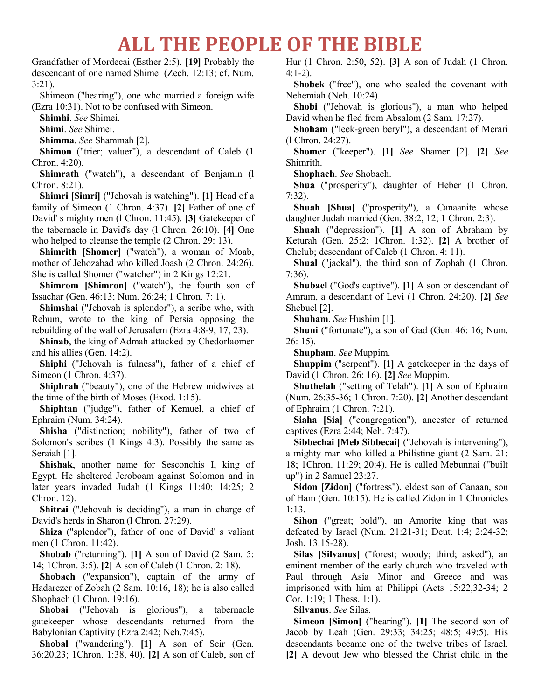Grandfather of Mordecai (Esther 2:5). **[19]** Probably the descendant of one named Shimei (Zech. 12:13; cf. Num. 3:21).

Shimeon ("hearing"), one who married a foreign wife (Ezra 10:31). Not to be confused with Simeon.

**Shimhi**. *See* Shimei.

**Shimi**. *See* Shimei.

**Shimma**. *See* Shammah [2].

**Shimon** ("trier; valuer"), a descendant of Caleb (1 Chron. 4:20).

**Shimrath** ("watch"), a descendant of Benjamin (l Chron. 8:21).

**Shimri [Simri]** ("Jehovah is watching"). **[1]** Head of a family of Simeon (1 Chron. 4:37). **[2]** Father of one of David' s mighty men (l Chron. 11:45). **[3]** Gatekeeper of the tabernacle in David's day (l Chron. 26:10). **[4]** One who helped to cleanse the temple  $(2 \text{ Chron. } 29: 13)$ .

**Shimrith [Shomer]** ("watch"), a woman of Moab, mother of Jehozabad who killed Joash (2 Chron. 24:26). She is called Shomer ("watcher") in 2 Kings 12:21.

**Shimrom [Shimron]** ("watch"), the fourth son of Issachar (Gen. 46:13; Num. 26:24; 1 Chron. 7: 1).

**Shimshai** ("Jehovah is splendor"), a scribe who, with Rehum, wrote to the king of Persia opposing the rebuilding of the wall of Jerusalem (Ezra 4:8-9, 17, 23).

**Shinab**, the king of Admah attacked by Chedorlaomer and his allies (Gen. 14:2).

**Shiphi** ("Jehovah is fulness"), father of a chief of Simeon (1 Chron. 4:37).

**Shiphrah** ("beauty"), one of the Hebrew midwives at the time of the birth of Moses (Exod. 1:15).

**Shiphtan** ("judge"), father of Kemuel, a chief of Ephraim (Num. 34:24).

**Shisha** ("distinction; nobility"), father of two of Solomon's scribes (1 Kings 4:3). Possibly the same as Seraiah [1].

**Shishak**, another name for Sesconchis I, king of Egypt. He sheltered Jeroboam against Solomon and in later years invaded Judah (1 Kings 11:40; 14:25; 2 Chron. 12).

**Shitrai** ("Jehovah is deciding"), a man in charge of David's herds in Sharon (1 Chron. 27:29).

**Shiza** ("splendor''), father of one of David' s valiant men (1 Chron. 11:42).

**Shobab** ("returning"). **[1]** A son of David (2 Sam. 5: 14; 1Chron. 3:5). **[2]** A son of Caleb (1 Chron. 2: 18).

**Shobach** ("expansion"), captain of the army of Hadarezer of Zobah (2 Sam. 10:16, 18); he is also called Shophach (1 Chron. 19:16).

**Shobai** ("Jehovah is glorious"), a tabernacle gatekeeper whose descendants returned from the Babylonian Captivity (Ezra 2:42; Neh.7:45).

**Shobal** ("wandering"). **[1]** A son of Seir (Gen. 36:20,23; 1Chron. 1:38, 40). **[2]** A son of Caleb, son of Hur (1 Chron. 2:50, 52). **[3]** A son of Judah (1 Chron. 4:1-2).

**Shobek** ("free"), one who sealed the covenant with Nehemiah (Neh. 10:24).

**Shobi** ("Jehovah is glorious"), a man who helped David when he fled from Absalom (2 Sam. 17:27).

**Shoham** ("leek-green beryl"), a descendant of Merari (l Chron. 24:27).

**Shomer** ("keeper"). **[1]** *See* Shamer [2]. **[2]** *See* Shimrith.

**Shophach**. *See* Shobach.

**Shua** ("prosperity"), daughter of Heber (1 Chron. 7:32).

**Shuah [Shua]** ("prosperity"), a Canaanite whose daughter Judah married (Gen. 38:2, 12; 1 Chron. 2:3).

**Shuah** ("depression"). **[1]** A son of Abraham by Keturah (Gen. 25:2; 1Chron. 1:32). **[2]** A brother of Chelub; descendant of Caleb (1 Chron. 4: 11).

**Shual** ("jackal"), the third son of Zophah (1 Chron. 7:36).

**Shubael** ("God's captive"). **[1]** A son or descendant of Amram, a descendant of Levi (1 Chron. 24:20). **[2]** *See* Shebuel [2].

**Shuham**. *See* Hushim [1].

**Shuni** ("fortunate"), a son of Gad (Gen. 46: 16; Num. 26: 15).

**Shupham**. *See* Muppim.

**Shuppim** ("serpent"). **[1]** A gatekeeper in the days of David (1 Chron. 26: 16). **[2]** *See* Muppim.

**Shuthelah** ("setting of Telah"). **[1]** A son of Ephraim (Num. 26:35-36; 1 Chron. 7:20). **[2]** Another descendant of Ephraim (1 Chron. 7:21).

**Siaha [Sia]** ("congregation"), ancestor of returned captives (Ezra 2:44; Neh. 7:47).

**Sibbechai [Meb Sibbecai]** ("Jehovah is intervening"), a mighty man who killed a Philistine giant (2 Sam. 21: 18; 1Chron. 11:29; 20:4). He is called Mebunnai ("built up") in 2 Samuel 23:27.

**Sidon [Zidon]** ("fortress"), eldest son of Canaan, son of Ham (Gen. 10:15). He is called Zidon in 1 Chronicles 1:13.

**Sihon** ("great; bold"), an Amorite king that was defeated by Israel (Num. 21:21-31; Deut. 1:4; 2:24-32; Josh. 13:15-28).

**Silas [Silvanus]** ("forest; woody; third; asked"), an eminent member of the early church who traveled with Paul through Asia Minor and Greece and was imprisoned with him at Philippi (Acts 15:22,32-34; 2 Cor. 1:19; 1 Thess. 1:1).

**Silvanus**. *See* Silas.

**Simeon [Simon]** ("hearing"). **[1]** The second son of Jacob by Leah (Gen. 29:33; 34:25; 48:5; 49:5). His descendants became one of the twelve tribes of Israel. **[2]** A devout Jew who blessed the Christ child in the